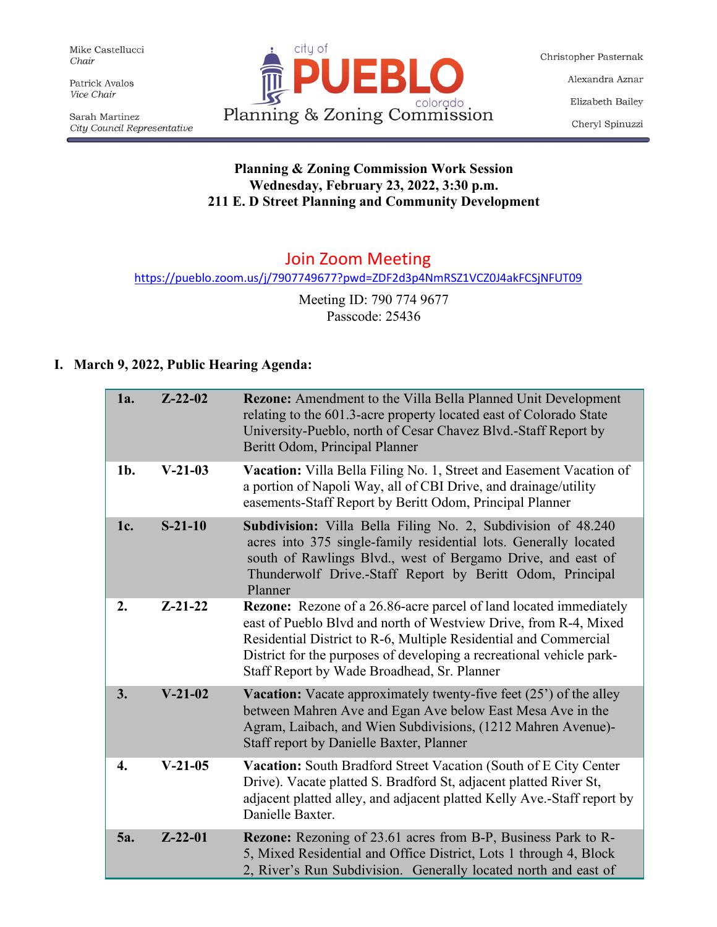Mike Castellucci Chair

Patrick Avalos Vice Chair

Sarah Martinez City Council Representative



Christopher Pasternak Alexandra Aznar Elizabeth Bailey Cheryl Spinuzzi

## **Planning & Zoning Commission Work Session Wednesday, February 23, 2022, 3:30 p.m. 211 E. D Street Planning and Community Development**

# Join Zoom Meeting

<https://pueblo.zoom.us/j/7907749677?pwd=ZDF2d3p4NmRSZ1VCZ0J4akFCSjNFUT09>

Meeting ID: 790 774 9677 Passcode: 25436

## **I. March 9, 2022, Public Hearing Agenda:**

| <b>1a.</b> | $Z - 22 - 02$ | <b>Rezone:</b> Amendment to the Villa Bella Planned Unit Development<br>relating to the 601.3-acre property located east of Colorado State<br>University-Pueblo, north of Cesar Chavez Blvd.-Staff Report by<br>Beritt Odom, Principal Planner                                                                                          |
|------------|---------------|-----------------------------------------------------------------------------------------------------------------------------------------------------------------------------------------------------------------------------------------------------------------------------------------------------------------------------------------|
| $1b$ .     | $V-21-03$     | Vacation: Villa Bella Filing No. 1, Street and Easement Vacation of<br>a portion of Napoli Way, all of CBI Drive, and drainage/utility<br>easements-Staff Report by Beritt Odom, Principal Planner                                                                                                                                      |
| 1c.        | $S-21-10$     | Subdivision: Villa Bella Filing No. 2, Subdivision of 48.240<br>acres into 375 single-family residential lots. Generally located<br>south of Rawlings Blvd., west of Bergamo Drive, and east of<br>Thunderwolf Drive.-Staff Report by Beritt Odom, Principal<br>Planner                                                                 |
| 2.         | $Z - 21 - 22$ | <b>Rezone:</b> Rezone of a 26.86-acre parcel of land located immediately<br>east of Pueblo Blvd and north of Westview Drive, from R-4, Mixed<br>Residential District to R-6, Multiple Residential and Commercial<br>District for the purposes of developing a recreational vehicle park-<br>Staff Report by Wade Broadhead, Sr. Planner |
| 3.         | $V-21-02$     | <b>Vacation:</b> Vacate approximately twenty-five feet $(25')$ of the alley<br>between Mahren Ave and Egan Ave below East Mesa Ave in the<br>Agram, Laibach, and Wien Subdivisions, (1212 Mahren Avenue)-<br>Staff report by Danielle Baxter, Planner                                                                                   |
| 4.         | $V-21-05$     | Vacation: South Bradford Street Vacation (South of E City Center<br>Drive). Vacate platted S. Bradford St, adjacent platted River St,<br>adjacent platted alley, and adjacent platted Kelly Ave.-Staff report by<br>Danielle Baxter.                                                                                                    |
| 5a.        | $Z-22-01$     | Rezone: Rezoning of 23.61 acres from B-P, Business Park to R-<br>5, Mixed Residential and Office District, Lots 1 through 4, Block<br>2, River's Run Subdivision. Generally located north and east of                                                                                                                                   |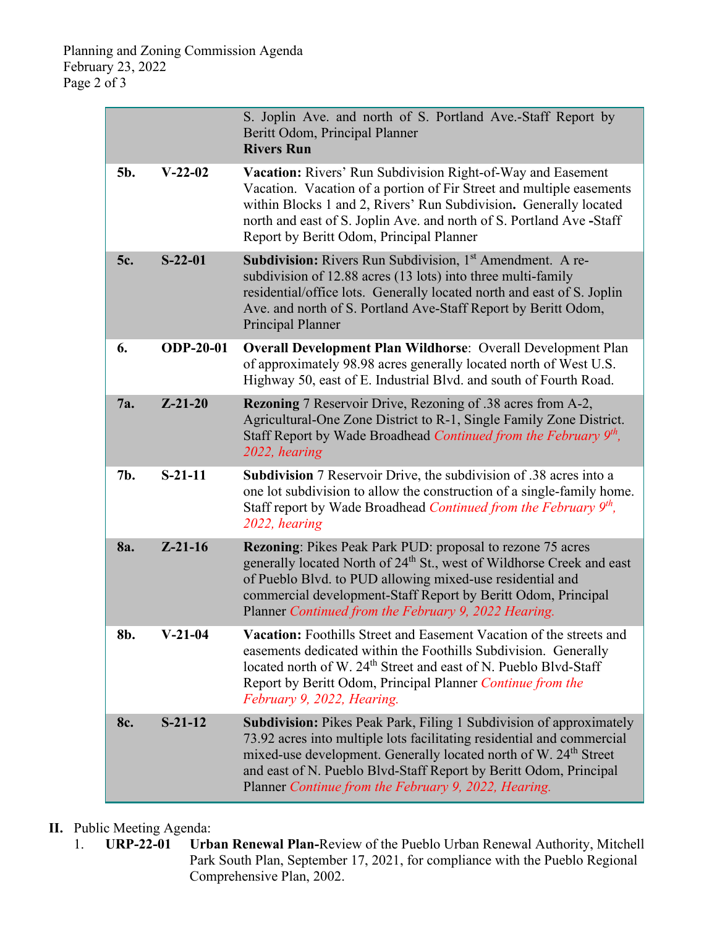|     |                  | S. Joplin Ave. and north of S. Portland Ave.-Staff Report by<br>Beritt Odom, Principal Planner<br><b>Rivers Run</b>                                                                                                                                                                                                                                               |
|-----|------------------|-------------------------------------------------------------------------------------------------------------------------------------------------------------------------------------------------------------------------------------------------------------------------------------------------------------------------------------------------------------------|
| 5b. | $V-22-02$        | Vacation: Rivers' Run Subdivision Right-of-Way and Easement<br>Vacation. Vacation of a portion of Fir Street and multiple easements<br>within Blocks 1 and 2, Rivers' Run Subdivision. Generally located<br>north and east of S. Joplin Ave. and north of S. Portland Ave -Staff<br>Report by Beritt Odom, Principal Planner                                      |
| 5c. | $S-22-01$        | <b>Subdivision:</b> Rivers Run Subdivision, 1 <sup>st</sup> Amendment. A re-<br>subdivision of 12.88 acres (13 lots) into three multi-family<br>residential/office lots. Generally located north and east of S. Joplin<br>Ave. and north of S. Portland Ave-Staff Report by Beritt Odom,<br>Principal Planner                                                     |
| 6.  | <b>ODP-20-01</b> | <b>Overall Development Plan Wildhorse: Overall Development Plan</b><br>of approximately 98.98 acres generally located north of West U.S.<br>Highway 50, east of E. Industrial Blvd. and south of Fourth Road.                                                                                                                                                     |
| 7a. | $Z - 21 - 20$    | <b>Rezoning</b> 7 Reservoir Drive, Rezoning of .38 acres from A-2,<br>Agricultural-One Zone District to R-1, Single Family Zone District.<br>Staff Report by Wade Broadhead Continued from the February 9th,<br>2022, hearing                                                                                                                                     |
| 7b. | $S-21-11$        | <b>Subdivision</b> 7 Reservoir Drive, the subdivision of .38 acres into a<br>one lot subdivision to allow the construction of a single-family home.<br>Staff report by Wade Broadhead Continued from the February 9 <sup>th</sup> ,<br>2022, hearing                                                                                                              |
| 8a. | $Z - 21 - 16$    | <b>Rezoning:</b> Pikes Peak Park PUD: proposal to rezone 75 acres<br>generally located North of 24 <sup>th</sup> St., west of Wildhorse Creek and east<br>of Pueblo Blvd. to PUD allowing mixed-use residential and<br>commercial development-Staff Report by Beritt Odom, Principal<br>Planner Continued from the February 9, 2022 Hearing.                      |
| 8b. | $V-21-04$        | Vacation: Foothills Street and Easement Vacation of the streets and<br>easements dedicated within the Foothills Subdivision. Generally<br>located north of W. 24 <sup>th</sup> Street and east of N. Pueblo Blvd-Staff<br>Report by Beritt Odom, Principal Planner Continue from the<br>February 9, 2022, Hearing.                                                |
| 8c. | $S-21-12$        | <b>Subdivision:</b> Pikes Peak Park, Filing 1 Subdivision of approximately<br>73.92 acres into multiple lots facilitating residential and commercial<br>mixed-use development. Generally located north of W. 24 <sup>th</sup> Street<br>and east of N. Pueblo Blvd-Staff Report by Beritt Odom, Principal<br>Planner Continue from the February 9, 2022, Hearing. |

# **II.** Public Meeting Agenda:<br>1. **URP-22-01** Urb

Urban Renewal Plan-Review of the Pueblo Urban Renewal Authority, Mitchell Park South Plan, September 17, 2021, for compliance with the Pueblo Regional Comprehensive Plan, 2002.